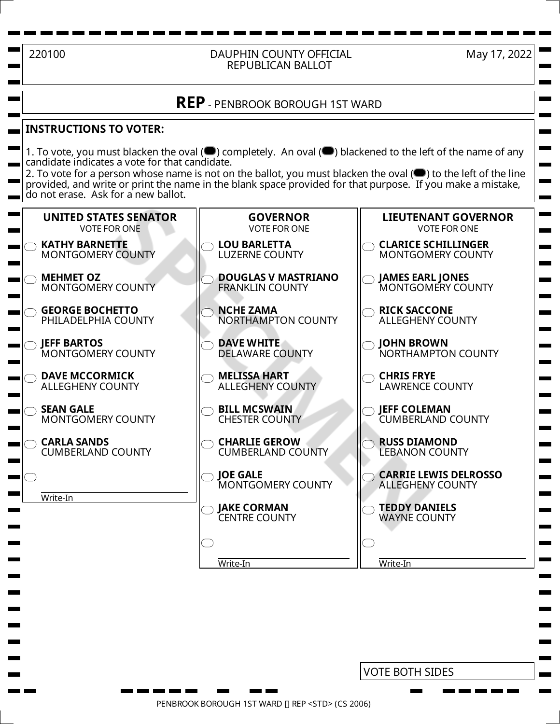## 220100 DAUPHIN COUNTY OFFICIAL REPUBLICAN BALLOT

May 17, 2022

## **REP** - PENBROOK BOROUGH 1ST WARD

## **INSTRUCTIONS TO VOTER:**

1. To vote, you must blacken the oval ( $\blacksquare$ ) completely. An oval ( $\blacksquare$ ) blackened to the left of the name of any candidate indicates a vote for that candidate.

2. To vote for a person whose name is not on the ballot, you must blacken the oval  $(\blacksquare)$  to the left of the line provided, and write or print the name in the blank space provided for that purpose. If you make a mistake, do not erase. Ask for a new ballot.